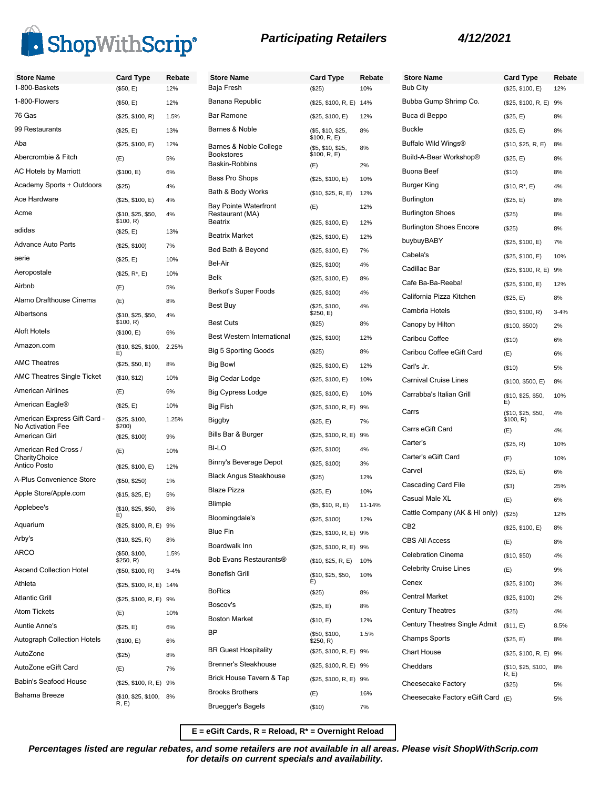

| <b>Participating Retailers</b> |  |
|--------------------------------|--|
|--------------------------------|--|



| <b>Store Name</b>                                 | <b>Card Type</b>                | Rebate   | <b>Store Name</b>                   | <b>Card Type</b>                  | Rebate |
|---------------------------------------------------|---------------------------------|----------|-------------------------------------|-----------------------------------|--------|
| 1-800-Baskets                                     | (\$50, E)                       | 12%      | Baja Fresh                          | (\$25)                            | 10%    |
| 1-800-Flowers                                     | (\$50, E)                       | 12%      | Banana Republic                     | (\$25, \$100, R, E) 14%           |        |
| 76 Gas                                            | (\$25, \$100, R)                | 1.5%     | Bar Ramone                          | (\$25, \$100, E)                  | 12%    |
| 99 Restaurants                                    | (\$25, E)                       | 13%      | Barnes & Noble                      | (\$5, \$10, \$25,<br>\$100, R, E) | 8%     |
| Aba                                               | (\$25, \$100, E)                | 12%      | Barnes & Noble College              | (\$5, \$10, \$25,                 | 8%     |
| Abercrombie & Fitch                               | (E)                             | 5%       | <b>Bookstores</b><br>Baskin-Robbins | \$100, R, E)<br>(E)               | 2%     |
| <b>AC Hotels by Marriott</b>                      | (\$100, E)                      | 6%       | Bass Pro Shops                      | (\$25, \$100, E)                  | 10%    |
| Academy Sports + Outdoors                         | (\$25)                          | 4%       | Bath & Body Works                   | (\$10, \$25, R, E)                | 12%    |
| Ace Hardware                                      | (\$25, \$100, E)                | 4%       | <b>Bay Pointe Waterfront</b>        | (E)                               | 12%    |
| Acme                                              | (\$10, \$25, \$50,<br>\$100, R) | 4%       | Restaurant (MA)<br>Beatrix          | (\$25, \$100, E)                  | 12%    |
| adidas                                            | (\$25, E)                       | 13%      | <b>Beatrix Market</b>               | (\$25, \$100, E)                  | 12%    |
| <b>Advance Auto Parts</b>                         | (\$25, \$100)                   | 7%       | Bed Bath & Beyond                   | (\$25, \$100, E)                  | 7%     |
| aerie                                             | (\$25, E)                       | 10%      | Bel-Air                             | (\$25, \$100)                     | 4%     |
| Aeropostale                                       | $($25, R^*, E)$                 | 10%      | <b>Belk</b>                         | (\$25, \$100, E)                  | 8%     |
| Airbnb                                            | (E)                             | 5%       | Berkot's Super Foods                | (\$25, \$100)                     | 4%     |
| Alamo Drafthouse Cinema                           | (E)                             | 8%       | Best Buy                            | (\$25, \$100,                     | 4%     |
| Albertsons                                        | (\$10, \$25, \$50,              | 4%       |                                     | \$250, E)                         |        |
| Aloft Hotels                                      | \$100, R)<br>(\$100, E)         | 6%       | <b>Best Cuts</b>                    | (\$25)                            | 8%     |
| Amazon.com                                        | (\$10, \$25, \$100,             | 2.25%    | <b>Best Western International</b>   | (\$25, \$100)                     | 12%    |
|                                                   | E)                              |          | <b>Big 5 Sporting Goods</b>         | (\$25)                            | 8%     |
| <b>AMC Theatres</b>                               | (\$25, \$50, E)                 | 8%       | Big Bowl                            | (\$25, \$100, E)                  | 12%    |
| <b>AMC Theatres Single Ticket</b>                 | (\$10, \$12)                    | 10%      | Big Cedar Lodge                     | (\$25, \$100, E)                  | 10%    |
| <b>American Airlines</b>                          | (E)                             | 6%       | <b>Big Cypress Lodge</b>            | (\$25, \$100, E)                  | 10%    |
| American Eagle <sup>®</sup>                       | (\$25, E)                       | 10%      | Big Fish                            | (\$25, \$100, R, E) 9%            |        |
| American Express Gift Card -<br>No Activation Fee | (\$25, \$100,<br>\$200)         | 1.25%    | Biggby                              | (\$25, E)                         | 7%     |
| American Girl                                     | (\$25, \$100)                   | 9%       | Bills Bar & Burger                  | (\$25, \$100, R, E) 9%            |        |
| American Red Cross /                              | (E)                             | 10%      | BI-LO                               | (\$25, \$100)                     | 4%     |
| CharityChoice<br>Antico Posto                     | (\$25, \$100, E)                | 12%      | Binny's Beverage Depot              | (\$25, \$100)                     | 3%     |
| A-Plus Convenience Store                          | (\$50, \$250)                   | 1%       | <b>Black Angus Steakhouse</b>       | (\$25)                            | 12%    |
| Apple Store/Apple.com                             | (\$15, \$25, E)                 | 5%       | <b>Blaze Pizza</b>                  | (\$25, E)                         | 10%    |
| Applebee's                                        | (\$10, \$25, \$50,              | 8%       | Blimpie                             | (\$5, \$10, R, E)                 | 11-14% |
| Aquarium                                          | E)                              |          | Bloomingdale's                      | (\$25, \$100)                     | 12%    |
| Arby's                                            | (\$25, \$100, R, E) 9%          |          | <b>Blue Fin</b>                     | (\$25, \$100, R, E) 9%            |        |
| ARCO                                              | (\$10, \$25, R)                 | 8%       | Boardwalk Inn                       | (\$25, \$100, R, E) 9%            |        |
|                                                   | (\$50, \$100,<br>\$250, R)      | 1.5%     | Bob Evans Restaurants®              | (\$10, \$25, R, E)                | 10%    |
| <b>Ascend Collection Hotel</b>                    | (\$50, \$100, R)                | $3 - 4%$ | <b>Bonefish Grill</b>               | (\$10, \$25, \$50,                | 10%    |
| Athleta                                           | (\$25, \$100, R, E) 14%         |          | <b>BoRics</b>                       | E)<br>(\$25)                      | 8%     |
| <b>Atlantic Grill</b>                             | (\$25, \$100, R, E) 9%          |          | Boscov's                            | (\$25, E)                         | 8%     |
| <b>Atom Tickets</b>                               | (E)                             | 10%      | <b>Boston Market</b>                | (\$10, E)                         | 12%    |
| <b>Auntie Anne's</b>                              | (\$25, E)                       | 6%       | BP                                  | (\$50, \$100,                     | 1.5%   |
| <b>Autograph Collection Hotels</b>                | (\$100, E)                      | 6%       |                                     | \$250, R)                         |        |
| AutoZone                                          | $(\$25)$                        | 8%       | <b>BR Guest Hospitality</b>         | (\$25, \$100, R, E) 9%            |        |
| AutoZone eGift Card                               | (E)                             | 7%       | <b>Brenner's Steakhouse</b>         | (\$25, \$100, R, E) 9%            |        |
| Babin's Seafood House                             | (\$25, \$100, R, E) 9%          |          | Brick House Tavern & Tap            | (\$25, \$100, R, E) 9%            |        |
| Bahama Breeze                                     | (\$10, \$25, \$100,<br>R, E)    | 8%       | <b>Brooks Brothers</b>              | (E)                               | 16%    |
|                                                   |                                 |          | Bruegger's Bagels                   | $($ \$10)                         | 7%     |

| <b>Store Name</b>                    | <b>Card Type</b>                      | Rebate   |
|--------------------------------------|---------------------------------------|----------|
| <b>Bub City</b>                      | (\$25, \$100, E)                      | 12%      |
| Bubba Gump Shrimp Co.                | (\$25, \$100, R, E)                   | 9%       |
| Buca di Beppo                        | (\$25, E)                             | 8%       |
| <b>Buckle</b>                        | (\$25, E)                             | 8%       |
| Buffalo Wild Wings®                  | (\$10, \$25, R, E)                    | 8%       |
| Build-A-Bear Workshop®               | (\$25, E)                             | 8%       |
| <b>Buona Beef</b>                    | (\$10)                                | 8%       |
| Burger King                          | $($10, R^*, E)$                       | 4%       |
| Burlington                           | (\$25, E)                             | 8%       |
| <b>Burlington Shoes</b>              | (\$25)                                | 8%       |
| <b>Burlington Shoes Encore</b>       | (\$25)                                | 8%       |
| buybuyBABY                           | (\$25, \$100, E)                      | 7%       |
| Cabela's                             | (\$25, \$100, E)                      | 10%      |
| Cadillac Bar                         | (\$25, \$100, R, E)                   | 9%       |
| Cafe Ba-Ba-Reeba!                    | (\$25, \$100, E)                      | 12%      |
| California Pizza Kitchen             | (\$25, E)                             | 8%       |
| Cambria Hotels                       | (\$50, \$100, R)                      | $3 - 4%$ |
| Canopy by Hilton                     | (\$100, \$500)                        | 2%       |
| Caribou Coffee                       | (\$10)                                | 6%       |
| Caribou Coffee eGift Card            | (E)                                   | 6%       |
| Carl's Jr.                           | (\$10)                                | 5%       |
| Carnival Cruise Lines                | (\$100, \$500, E)                     | 8%       |
| Carrabba's Italian Grill             | (\$10, \$25, \$50,                    | 10%      |
| Carrs                                | E)<br>(\$10, \$25, \$50,<br>\$100, R) | 4%       |
| Carrs eGift Card                     | (E)                                   | 4%       |
| Carter's                             | (\$25, R)                             | 10%      |
| Carter's eGift Card                  | (E)                                   | 10%      |
| Carvel                               | (\$25, E)                             | 6%       |
| Cascading Card File                  | $($ \$3)                              | 25%      |
| Casual Male XL                       | (E)                                   | 6%       |
| Cattle Company (AK & HI only)        | (\$25)                                | 12%      |
| CB2                                  | (\$25, \$100, E)                      | 8%       |
| <b>CBS All Access</b>                | (E)                                   | 8%       |
| <b>Celebration Cinema</b>            | (\$10, \$50)                          | 4%       |
| <b>Celebrity Cruise Lines</b>        | (E)                                   | 9%       |
| Cenex                                | (\$25, \$100)                         | 3%       |
| <b>Central Market</b>                | (\$25, \$100)                         | 2%       |
| <b>Century Theatres</b>              | (\$25)                                | 4%       |
| <b>Century Theatres Single Admit</b> | (\$11, E)                             | 8.5%     |
| <b>Champs Sports</b>                 | (\$25, E)                             | 8%       |
| <b>Chart House</b>                   | (\$25, \$100, R, E)                   | 9%       |
| Cheddars                             | (\$10, \$25, \$100,<br>R, E           | 8%       |
| Cheesecake Factory                   | (\$25)                                | 5%       |
| Cheesecake Factory eGift Card        | (E)                                   | 5%       |

**E = eGift Cards, R = Reload, R\* = Overnight Reload**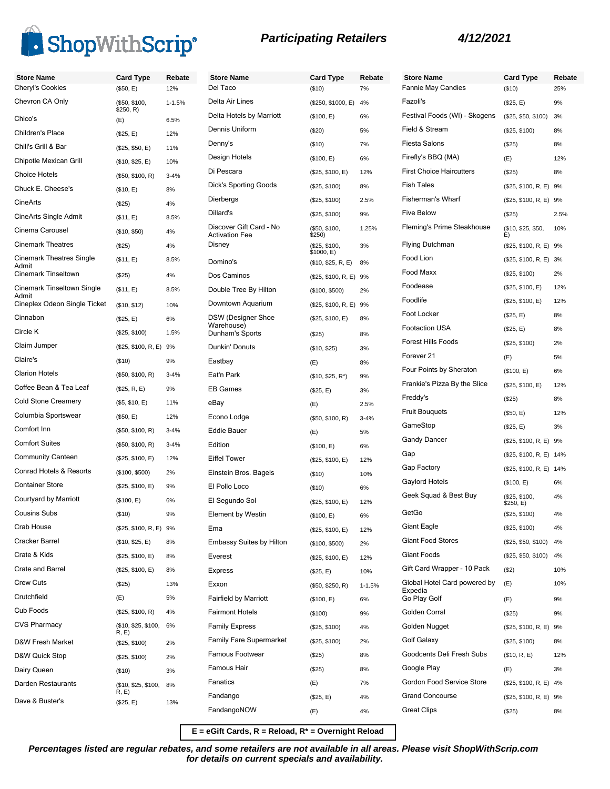

| <b>Participating Retailers</b> |  |
|--------------------------------|--|
|--------------------------------|--|

| <b>Store Name</b>               | <b>Card Type</b>             | Rebate     | <b>Store Name</b>                                | <b>Card Type</b>                 | Rebate     | <b>Store Nam</b>       |
|---------------------------------|------------------------------|------------|--------------------------------------------------|----------------------------------|------------|------------------------|
| Cheryl's Cookies                | (\$50, E)                    | 12%        | Del Taco                                         | (\$10)                           | 7%         | Fannie May             |
| Chevron CA Only                 | (\$50, \$100,<br>\$250, R)   | $1 - 1.5%$ | Delta Air Lines                                  | (\$250, \$1000, E) 4%            |            | Fazoli's               |
| Chico's                         | (E)                          | 6.5%       | Delta Hotels by Marriott                         | (\$100, E)                       | 6%         | <b>Festival Foc</b>    |
| Children's Place                | (\$25, E)                    | 12%        | Dennis Uniform                                   | (\$20)                           | 5%         | Field & Strea          |
| Chili's Grill & Bar             | (\$25, \$50, E)              | 11%        | Denny's                                          | (\$10)                           | 7%         | <b>Fiesta Salor</b>    |
| Chipotle Mexican Grill          | (\$10, \$25, E)              | 10%        | Design Hotels                                    | (\$100, E)                       | 6%         | Firefly's BB           |
| <b>Choice Hotels</b>            | (\$50, \$100, R)             | $3 - 4%$   | Di Pescara                                       | (\$25, \$100, E)                 | 12%        | <b>First Choice</b>    |
| Chuck E. Cheese's               | (\$10, E)                    | 8%         | <b>Dick's Sporting Goods</b>                     | (\$25, \$100)                    | 8%         | <b>Fish Tales</b>      |
| CineArts                        | (\$25)                       | 4%         | Dierbergs                                        | (\$25, \$100)                    | 2.5%       | Fisherman's            |
| CineArts Single Admit           | (\$11, E)                    | 8.5%       | Dillard's                                        | (\$25, \$100)                    | 9%         | <b>Five Below</b>      |
| Cinema Carousel                 | (\$10, \$50)                 | 4%         | Discover Gift Card - No<br><b>Activation Fee</b> | (\$50, \$100,<br>\$250)          | 1.25%      | Fleming's P            |
| <b>Cinemark Theatres</b>        | (\$25)                       | 4%         | Disney                                           | (\$25, \$100,                    | 3%         | <b>Flying Dutch</b>    |
| <b>Cinemark Theatres Single</b> | (\$11, E)                    | 8.5%       | Domino's                                         | \$1000, E)<br>(\$10, \$25, R, E) | 8%         | Food Lion              |
| Admit<br>Cinemark Tinseltown    | (\$25)                       | 4%         | Dos Caminos                                      |                                  |            | Food Maxx              |
| Cinemark Tinseltown Single      | (\$11, E)                    | 8.5%       | Double Tree By Hilton                            | (\$25, \$100, R, E) 9%           |            | Foodease               |
| Admit                           |                              |            | Downtown Aquarium                                | (\$100, \$500)                   | 2%         | Foodlife               |
| Cineplex Odeon Single Ticket    | (\$10, \$12)                 | 10%        | <b>DSW</b> (Designer Shoe                        | (\$25, \$100, R, E) 9%           |            | Foot Locker            |
| Cinnabon                        | (\$25, E)                    | 6%         | Warehouse)                                       | (\$25, \$100, E)                 | 8%         | Footaction L           |
| Circle K                        | (\$25, \$100)                | 1.5%       | Dunham's Sports                                  | (\$25)                           | 8%         | <b>Forest Hills</b>    |
| Claim Jumper                    | (\$25, \$100, R, E) 9%       |            | Dunkin' Donuts                                   | (\$10, \$25)                     | 3%         | Forever 21             |
| Claire's                        | (\$10)                       | 9%         | Eastbay                                          | (E)                              | 8%         | <b>Four Points</b>     |
| <b>Clarion Hotels</b>           | (\$50, \$100, R)             | $3 - 4%$   | Eat'n Park                                       | $($10, $25, R^*)$                | 9%         | Frankie's Pi:          |
| Coffee Bean & Tea Leaf          | (\$25, R, E)                 | 9%         | <b>EB Games</b>                                  | (\$25, E)                        | 3%         | Freddy's               |
| <b>Cold Stone Creamery</b>      | (\$5, \$10, E)               | 11%        | eBay                                             | (E)                              | 2.5%       |                        |
| Columbia Sportswear             | (\$50, E)                    | 12%        | Econo Lodge                                      | (\$50, \$100, R)                 | $3 - 4%$   | Fruit Bougue           |
| Comfort Inn                     | (\$50, \$100, R)             | $3 - 4%$   | <b>Eddie Bauer</b>                               | (E)                              | 5%         | GameStop               |
| <b>Comfort Suites</b>           | (\$50, \$100, R)             | $3 - 4%$   | Edition                                          | (\$100, E)                       | 6%         | Gandy Dano             |
| <b>Community Canteen</b>        | (\$25, \$100, E)             | 12%        | <b>Eiffel Tower</b>                              | (\$25, \$100, E)                 | 12%        | Gap                    |
| Conrad Hotels & Resorts         | (\$100, \$500)               | 2%         | Einstein Bros. Bagels                            | (\$10)                           | 10%        | Gap Factory            |
| <b>Container Store</b>          | (\$25, \$100, E)             | 9%         | El Pollo Loco                                    | (\$10)                           | 6%         | Gaylord Hot            |
| Courtyard by Marriott           | (\$100, E)                   | 6%         | El Segundo Sol                                   | (\$25, \$100, E)                 | 12%        | Geek Squad             |
| <b>Cousins Subs</b>             | (\$10)                       | 9%         | Element by Westin                                | (\$100, E)                       | 6%         | GetGo                  |
| Crab House                      | (\$25, \$100, R, E) 9%       |            | Ema                                              | (\$25, \$100, E)                 | 12%        | Giant Eagle            |
| Cracker Barrel                  | (\$10, \$25, E)              | 8%         | <b>Embassy Suites by Hilton</b>                  | (\$100, \$500)                   | 2%         | Giant Food             |
| Crate & Kids                    | (\$25, \$100, E)             | 8%         | Everest                                          | (\$25, \$100, E)                 | 12%        | <b>Giant Foods</b>     |
| Crate and Barrel                | (\$25, \$100, E)             | 8%         | <b>Express</b>                                   | (\$25, E)                        | 10%        | Gift Card W            |
| <b>Crew Cuts</b>                | (\$25)                       | 13%        | Exxon                                            | (\$50, \$250, R)                 | $1 - 1.5%$ | Global Hote            |
| Crutchfield                     | (E)                          | 5%         | <b>Fairfield by Marriott</b>                     | (\$100, E)                       | 6%         | Expedia<br>Go Play Gol |
| Cub Foods                       | (\$25, \$100, R)             | 4%         | <b>Fairmont Hotels</b>                           | (\$100)                          | 9%         | Golden Corr            |
| <b>CVS Pharmacy</b>             | (\$10, \$25, \$100,          | 6%         | <b>Family Express</b>                            | (\$25, \$100)                    | 4%         | Golden Nug             |
| D&W Fresh Market                | R, E)                        |            | Family Fare Supermarket                          | (\$25, \$100)                    | 2%         | Golf Galaxy            |
| D&W Quick Stop                  | (\$25, \$100)                | 2%         | Famous Footwear                                  | (\$25)                           | 8%         | Goodcents I            |
|                                 | (\$25, \$100)                | 2%         | Famous Hair                                      | (\$25)                           | 8%         | Google Play            |
| Dairy Queen                     | (\$10)                       | 3%         | Fanatics                                         |                                  | 7%         | Gordon Foo             |
| Darden Restaurants              | (\$10, \$25, \$100,<br>R, E) | 8%         | Fandango                                         | (E)                              |            | <b>Grand Conc</b>      |
| Dave & Buster's                 | (\$25, E)                    | 13%        | FandangoNOW                                      | (\$25, E)                        | 4%         | <b>Great Clips</b>     |
|                                 |                              |            |                                                  | (E)                              | 4%         |                        |

| <b>Store Name</b>               | <b>Card Type</b>             | Rebate |
|---------------------------------|------------------------------|--------|
| <b>Fannie May Candies</b>       | (\$10)                       | 25%    |
| Fazoli's                        | (\$25, E)                    | 9%     |
| Festival Foods (WI) - Skogens   | (\$25, \$50, \$100)          | 3%     |
| Field & Stream                  | (\$25, \$100)                | 8%     |
| Fiesta Salons                   | $(\$25)$                     | 8%     |
| Firefly's BBQ (MA)              | (E)                          | 12%    |
| <b>First Choice Haircutters</b> | $(\$25)$                     | 8%     |
| <b>Fish Tales</b>               | (\$25, \$100, R, E)          | 9%     |
| <b>Fisherman's Wharf</b>        | (\$25, \$100, R, E)          | 9%     |
| <b>Five Below</b>               | (\$25)                       | 2.5%   |
| Fleming's Prime Steakhouse      | (\$10, \$25, \$50,           | 10%    |
| <b>Flying Dutchman</b>          | E)<br>(\$25, \$100, R, E) 9% |        |
| Food Lion                       | (\$25, \$100, R, E)          | 3%     |
| Food Maxx                       | (\$25, \$100)                | 2%     |
| Foodease                        | (\$25, \$100, E)             | 12%    |
| Foodlife                        | (\$25, \$100, E)             | 12%    |
| Foot Locker                     | (\$25, E)                    | 8%     |
| Footaction USA                  | (\$25, E)                    | 8%     |
| <b>Forest Hills Foods</b>       | (\$25, \$100)                | 2%     |
| Forever 21                      | (E)                          | 5%     |
| Four Points by Sheraton         | (\$100, E)                   | 6%     |
| Frankie's Pizza By the Slice    | (\$25, \$100, E)             | 12%    |
| Freddy's                        | (\$25)                       | 8%     |
| <b>Fruit Bouguets</b>           | (\$50, E)                    | 12%    |
| GameStop                        | (\$25, E)                    | 3%     |
| <b>Gandy Dancer</b>             | (\$25, \$100, R, E) 9%       |        |
| Gap                             | (\$25, \$100, R, E)          | 14%    |
| Gap Factory                     | (\$25, \$100, R, E)          | 14%    |
| Gaylord Hotels                  | (\$100, E)                   | 6%     |
| Geek Squad & Best Buy           | (\$25, \$100,                | 4%     |
| GetGo                           | \$250, E)<br>(\$25, \$100)   | 4%     |
| Giant Eagle                     | (\$25, \$100)                | 4%     |
| <b>Giant Food Stores</b>        | (\$25, \$50, \$100)          | 4%     |
| <b>Giant Foods</b>              | (\$25, \$50, \$100)          | 4%     |
| Gift Card Wrapper - 10 Pack     | (\$2)                        | 10%    |
| Global Hotel Card powered by    | (E)                          | 10%    |
| Expedia<br>Go Play Golf         | (E)                          | 9%     |
| Golden Corral                   | $(\$25)$                     | 9%     |
| Golden Nugget                   | (\$25, \$100, R, E)          | 9%     |
| Golf Galaxy                     | (\$25, \$100)                | 8%     |
| Goodcents Deli Fresh Subs       | (\$10, R, E)                 | 12%    |
| Google Play                     | (E)                          | 3%     |
| Gordon Food Service Store       | (\$25, \$100, R, E) 4%       |        |
| <b>Grand Concourse</b>          | (\$25, \$100, R, E)          | 9%     |
| <b>Great Clips</b>              | (\$25)                       | 8%     |
|                                 |                              |        |

**E = eGift Cards, R = Reload, R\* = Overnight Reload**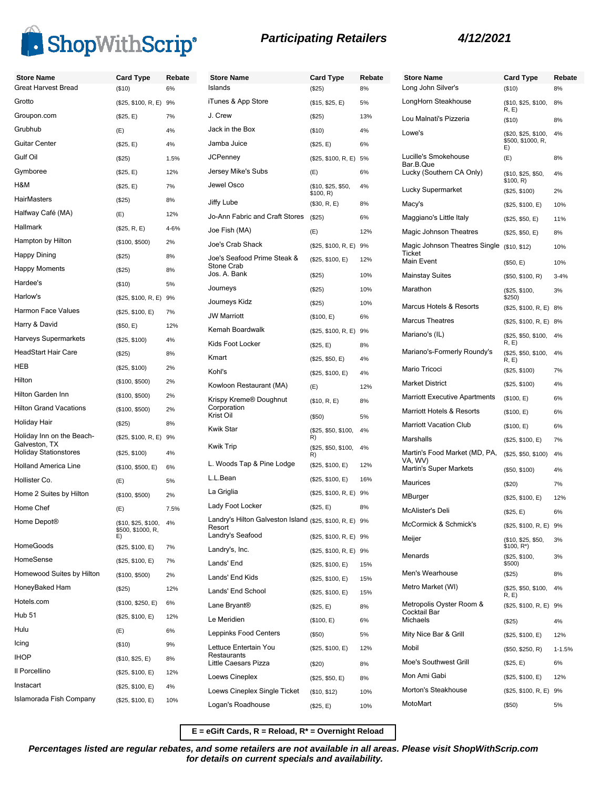



| <b>Store Name</b><br>Great Harvest Bread      | <b>Card Type</b><br>(\$10)                     | Rebate<br>6% | <b>Store Na</b><br>Islands |
|-----------------------------------------------|------------------------------------------------|--------------|----------------------------|
| Grotto                                        | (\$25, \$100, R, E)                            | 9%           | iTunes &                   |
| Groupon.com                                   | (\$25, E)                                      | 7%           | J. Crew                    |
| Grubhub                                       | (E)                                            | 4%           | Jack in th                 |
| <b>Guitar Center</b>                          | (\$25, E)                                      | 4%           | Jamba Jı                   |
| Gulf Oil                                      | (\$25)                                         | 1.5%         | JCPenne                    |
| Gymboree                                      | (\$25, E)                                      | 12%          | Jersey M                   |
| H&M                                           | (\$25, E)                                      | 7%           | Jewel Os                   |
| <b>HairMasters</b>                            | (\$25)                                         | 8%           | Jiffy Lube                 |
| Halfway Café (MA)                             | (E)                                            | 12%          | Jo-Ann F                   |
| Hallmark                                      | (\$25, R, E)                                   | 4-6%         | Joe Fish                   |
| Hampton by Hilton                             | (\$100, \$500)                                 | 2%           | Joe's Cra                  |
| Happy Dining                                  | (\$25)                                         | 8%           | Joe's Sea                  |
| <b>Happy Moments</b>                          | (\$25)                                         | 8%           | Stone Cra                  |
| Hardee's                                      | (\$10)                                         | 5%           | Jos. A. B                  |
| Harlow's                                      | (\$25, \$100, R, E)                            | 9%           | Journeys                   |
| <b>Harmon Face Values</b>                     | (\$25, \$100, E)                               | 7%           | Journeys                   |
| Harry & David                                 | (\$50, E)                                      | 12%          | <b>JW Marri</b>            |
| Harveys Supermarkets                          | (\$25, \$100)                                  | 4%           | Kemah B                    |
| <b>HeadStart Hair Care</b>                    | (\$25)                                         | 8%           | Kids Foot                  |
| HEB                                           | (\$25, \$100)                                  | 2%           | Kmart                      |
| Hilton                                        | (\$100, \$500)                                 | 2%           | Kohl's                     |
| Hilton Garden Inn                             | (\$100, \$500)                                 | 2%           | Kowloon                    |
| <b>Hilton Grand Vacations</b>                 | (\$100, \$500)                                 | 2%           | Krispy Kr<br>Corporati     |
| Holiday Hair                                  | (\$25)                                         | 8%           | Krist Oil                  |
| Holiday Inn on the Beach-                     | (\$25, \$100, R, E)                            | 9%           | Kwik Star                  |
| Galveston, TX<br><b>Holiday Stationstores</b> |                                                |              | <b>Kwik Trip</b>           |
| <b>Holland America Line</b>                   | (\$25, \$100)                                  | 4%           | L. Woods                   |
| Hollister Co.                                 | (\$100, \$500, E)                              | 6%           | L.L.Bean                   |
| Home 2 Suites by Hilton                       | (E)                                            | 5%           | La Griglia                 |
| Home Chef                                     | (\$100, \$500)                                 | 2%           | Lady Foo                   |
|                                               | (E)                                            | 7.5%         | Landry's                   |
| Home Depot®                                   | (\$10, \$25, \$100,<br>\$500, \$1000, R,<br>E) | 4%           | Resort<br>Landry's         |
| <b>HomeGoods</b>                              | (\$25, \$100, E)                               | 7%           | Landry's,                  |
| HomeSense                                     | (\$25, \$100, E)                               | 7%           | Lands' Er                  |
| Homewood Suites by Hilton                     | (\$100, \$500)                                 | 2%           | Lands' Er                  |
| HoneyBaked Ham                                | (\$25)                                         | 12%          | Lands' Er                  |
| Hotels.com                                    | (\$100, \$250, E)                              | 6%           | Lane Bry                   |
| <b>Hub 51</b>                                 | (\$25, \$100, E)                               | 12%          | Le Meridi                  |
| Hulu                                          | (E)                                            | 6%           | Leppinks                   |
| Icing                                         | (\$10)                                         | 9%           | Lettuce E                  |
| <b>IHOP</b>                                   | (\$10, \$25, E)                                | 8%           | Restaura<br>Little Cae     |
| Il Porcellino                                 | (\$25, \$100, E)                               | 12%          | Loews Ci                   |
| Instacart                                     | (\$25, \$100, E)                               | 4%           | Loews Ci                   |
| Islamorada Fish Company                       | (\$25, \$100, E)                               | 10%          |                            |

| <b>Store Name</b>                                                 | <b>Card Type</b>          | Rebate |
|-------------------------------------------------------------------|---------------------------|--------|
| Islands                                                           | (\$25)                    | 8%     |
| iTunes & App Store                                                | (\$15, \$25, E)           | 5%     |
| J. Crew                                                           | (S25)                     | 13%    |
| Jack in the Box                                                   | ( \$10)                   | 4%     |
| Jamba Juice                                                       | (\$25, E)                 | 6%     |
| JCPenney                                                          | (\$25, \$100, R, E)       | 5%     |
| Jersey Mike's Subs                                                | (E)                       | 6%     |
| Jewel Osco                                                        | (\$10, \$25, \$50,        | 4%     |
| Jiffy Lube                                                        | \$100, R)<br>(\$30, R, E) | 8%     |
| Jo-Ann Fabric and Craft Stores                                    | (\$25)                    | 6%     |
| Joe Fish (MA)                                                     | (E)                       | 12%    |
| Joe's Crab Shack                                                  | (\$25, \$100, R, E)       | 9%     |
| Joe's Seafood Prime Steak &<br><b>Stone Crab</b>                  | (\$25, \$100, E)          | 12%    |
| Jos. A. Bank                                                      | (\$25)                    | 10%    |
| Journeys                                                          | (S25)                     | 10%    |
| Journeys Kidz                                                     | (S25)                     | 10%    |
| <b>JW Marriott</b>                                                | (\$100, E)                | 6%     |
| Kemah Boardwalk                                                   | (\$25, \$100, R, E)       | 9%     |
| Kids Foot Locker                                                  | (\$25, E)                 | 8%     |
| Kmart                                                             | (\$25, \$50, E)           | 4%     |
| Kohl's                                                            | (\$25, \$100, E)          | 4%     |
| Kowloon Restaurant (MA)                                           | (E)                       | 12%    |
| Krispy Kreme® Doughnut<br>Corporation                             | (\$10, R, E)              | 8%     |
| Krist Oil                                                         | $($ \$50)                 | 5%     |
| Kwik Star                                                         | (\$25, \$50, \$100,<br>R) | 4%     |
| Kwik Trip                                                         | (\$25, \$50, \$100,<br>R) | 4%     |
| L. Woods Tap & Pine Lodge                                         | (\$25, \$100, E)          | 12%    |
| L.L.Bean                                                          | (\$25, \$100, E)          | 16%    |
| La Griglia                                                        | (\$25, \$100, R, E)       | 9%     |
| Lady Foot Locker                                                  | (\$25, E)                 | 8%     |
| Landry's Hilton Galveston Island (\$25, \$100, R, E) 9%<br>Resort |                           |        |
| Landry's Seafood                                                  | (\$25, \$100, R, E)       | 9%     |
| Landry's, Inc.                                                    | (\$25, \$100, R, E) 9%    |        |
| Lands' End                                                        | (\$25, \$100, E)          | 15%    |
| Lands' End Kids                                                   | (\$25, \$100, E)          | 15%    |
| Lands' End School                                                 | (\$25, \$100, E)          | 15%    |
| Lane Bryant®                                                      | (\$25, E)                 | 8%     |
| Le Meridien                                                       | (\$100, E)                | 6%     |
| Leppinks Food Centers                                             | ( \$50)                   | 5%     |
| Lettuce Entertain You<br>Restaurants<br>Little Caesars Pizza      | (\$25, \$100, E)          | 12%    |
| Loews Cineplex                                                    | (\$20)                    | 8%     |
|                                                                   | (\$25, \$50, E)           | 8%     |
| Loews Cineplex Single Ticket                                      | (\$10, \$12)              | 10%    |
| Logan's Roadhouse                                                 | (\$25, E)                 | 10%    |

| <b>Store Name</b>                                    | <b>Card Type</b>                               | Rebate     |
|------------------------------------------------------|------------------------------------------------|------------|
| Long John Silver's                                   | (\$10)                                         | 8%         |
| LongHorn Steakhouse                                  | (\$10, \$25, \$100,<br>R, E)                   | 8%         |
| Lou Malnati's Pizzeria                               | $($ \$10)                                      | 8%         |
| Lowe's                                               | (\$20, \$25, \$100,<br>\$500, \$1000, R,<br>E) | 4%         |
| Lucille's Smokehouse<br>Bar.B.Que                    | (E)                                            | 8%         |
| Lucky (Southern CA Only)                             | (\$10, \$25, \$50,<br>\$100, R)                | 4%         |
| Lucky Supermarket                                    | (\$25, \$100)                                  | 2%         |
| Macy's                                               | (\$25, \$100, E)                               | 10%        |
| Maggiano's Little Italy                              | (\$25, \$50, E)                                | 11%        |
| Magic Johnson Theatres                               | (\$25, \$50, E)                                | 8%         |
| Magic Johnson Theatres Single<br>Ticket              | (\$10, \$12)                                   | 10%        |
| Main Event                                           | (\$50, E)                                      | 10%        |
| Mainstay Suites                                      | (\$50, \$100, R)                               | $3 - 4%$   |
| Marathon                                             | (\$25, \$100,<br>\$250)                        | 3%         |
| Marcus Hotels & Resorts                              | (\$25, \$100, R, E)                            | 8%         |
| <b>Marcus Theatres</b>                               | (\$25, \$100, R, E)                            | 8%         |
| Mariano's (IL)                                       | (\$25, \$50, \$100,<br>R, E)                   | 4%         |
| Mariano's-Formerly Roundy's                          | (\$25, \$50, \$100,<br>R, E                    | 4%         |
| Mario Tricoci                                        | (\$25, \$100)                                  | 7%         |
| Market District                                      | (\$25, \$100)                                  | 4%         |
| <b>Marriott Executive Apartments</b>                 | (\$100, E)                                     | 6%         |
| Marriott Hotels & Resorts                            | (\$100, E)                                     | 6%         |
| <b>Marriott Vacation Club</b>                        | (\$100, E)                                     | 6%         |
| Marshalls                                            | (\$25, \$100, E)                               | 7%         |
| Martin's Food Market (MD, PA,<br>VA, WV)             | (\$25, \$50, \$100)                            | 4%         |
| Martin's Super Markets                               | $($ \$50, \$100)                               | 4%         |
| Maurices                                             | $(\$20)$                                       | 7%         |
| MBurger                                              | (\$25, \$100, E)                               | 12%        |
| McAlister's Deli                                     | (\$25, E)                                      | 6%         |
| McCormick & Schmick's                                | (\$25, \$100, R, E) 9%                         |            |
| Meijer                                               | (\$10, \$25, \$50,<br>\$100, R*)               | 3%         |
| Menards                                              | (\$25, \$100,<br>\$500)                        | 3%         |
| Men's Wearhouse                                      | (\$25)                                         | 8%         |
| Metro Market (WI)                                    | (\$25, \$50, \$100,<br>R, E                    | 4%         |
| Metropolis Oyster Room &<br>Cocktail Bar<br>Michaels | (\$25, \$100, R, E)<br>(\$25)                  | 9%<br>4%   |
| Mity Nice Bar & Grill                                | (\$25, \$100, E)                               | 12%        |
| Mobil                                                | (\$50, \$250, R)                               | $1 - 1.5%$ |
| Moe's Southwest Grill                                | (\$25, E)                                      | 6%         |
| Mon Ami Gabi                                         |                                                | 12%        |
| Morton's Steakhouse                                  | (\$25, \$100, E)                               |            |
| MotoMart                                             | (\$25, \$100, R, E)                            | 9%         |
|                                                      | $($ \$50)                                      | 5%         |

**E = eGift Cards, R = Reload, R\* = Overnight Reload**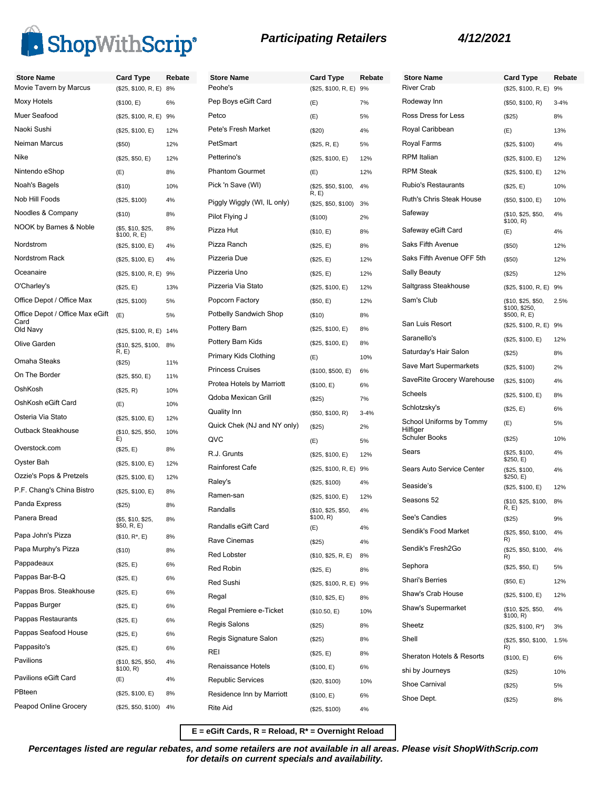

| <b>Store Name</b>               | <b>Card Type</b>                 | Rebate | <b>Store Name</b>             | <b>Card Type</b>            | Rebate   | <b>Store Name</b>                    | <b>Card Type</b>               | Rebate   |
|---------------------------------|----------------------------------|--------|-------------------------------|-----------------------------|----------|--------------------------------------|--------------------------------|----------|
| Movie Tavern by Marcus          | (\$25, \$100, R, E)              | 8%     | Peohe's                       | (\$25, \$100, R, E) 9%      |          | <b>River Crab</b>                    | (\$25, \$100, R, E)            | 9%       |
| <b>Moxy Hotels</b>              | (\$100, E)                       | 6%     | Pep Boys eGift Card           | (E)                         | 7%       | Rodeway Inn                          | (\$50, \$100, R)               | $3 - 4%$ |
| Muer Seafood                    | (\$25, \$100, R, E)              | 9%     | Petco                         | (E)                         | 5%       | Ross Dress for Less                  | (\$25)                         | 8%       |
| Naoki Sushi                     | (\$25, \$100, E)                 | 12%    | Pete's Fresh Market           | (\$20)                      | 4%       | Royal Caribbean                      | (E)                            | 13%      |
| Neiman Marcus                   | (\$50)                           | 12%    | PetSmart                      | (\$25, R, E)                | 5%       | Royal Farms                          | (\$25, \$100)                  | 4%       |
| Nike                            | (\$25, \$50, E)                  | 12%    | Petterino's                   | (\$25, \$100, E)            | 12%      | <b>RPM</b> Italian                   | (\$25, \$100, E)               | 12%      |
| Nintendo eShop                  | (E)                              | 8%     | <b>Phantom Gourmet</b>        | (E)                         | 12%      | <b>RPM Steak</b>                     | (\$25, \$100, E)               | 12%      |
| Noah's Bagels                   | ( \$10)                          | 10%    | Pick 'n Save (WI)             | (\$25, \$50, \$100,         | 4%       | <b>Rubio's Restaurants</b>           | (\$25, E)                      | 10%      |
| Nob Hill Foods                  | (\$25, \$100)                    | 4%     | Piggly Wiggly (WI, IL only)   | R, E<br>(\$25, \$50, \$100) | 3%       | Ruth's Chris Steak House             | (\$50, \$100, E)               | 10%      |
| Noodles & Company               | (\$10)                           | 8%     | Pilot Flying J                | (\$100)                     | 2%       | Safeway                              | (\$10, \$25, \$50,             | 4%       |
| NOOK by Barnes & Noble          | (\$5, \$10, \$25,                | 8%     | Pizza Hut                     | (\$10, E)                   | 8%       | Safeway eGift Card                   | \$100, R)<br>(E)               | 4%       |
| Nordstrom                       | \$100, R, E)<br>(\$25, \$100, E) | 4%     | Pizza Ranch                   | (\$25, E)                   | 8%       | Saks Fifth Avenue                    | (\$50)                         | 12%      |
| Nordstrom Rack                  | (\$25, \$100, E)                 | 4%     | Pizzeria Due                  | (\$25, E)                   | 12%      | Saks Fifth Avenue OFF 5th            | (\$50)                         | 12%      |
| Oceanaire                       | (\$25, \$100, R, E) 9%           |        | Pizzeria Uno                  | (\$25, E)                   | 12%      | <b>Sally Beauty</b>                  | (\$25)                         | 12%      |
| O'Charley's                     | (\$25, E)                        | 13%    | Pizzeria Via Stato            | (\$25, \$100, E)            | 12%      | Saltgrass Steakhouse                 | (\$25, \$100, R, E) 9%         |          |
| Office Depot / Office Max       | (\$25, \$100)                    | 5%     | Popcorn Factory               | (\$50, E)                   | 12%      | Sam's Club                           | (\$10, \$25, \$50,             | 2.5%     |
| Office Depot / Office Max eGift | (E)                              | 5%     | <b>Potbelly Sandwich Shop</b> | (\$10)                      | 8%       |                                      | \$100, \$250,<br>\$500, R, E)  |          |
| Card<br>Old Navy                | (\$25, \$100, R, E) 14%          |        | Pottery Barn                  | (\$25, \$100, E)            | 8%       | San Luis Resort                      | (\$25, \$100, R, E) 9%         |          |
| Olive Garden                    | (\$10, \$25, \$100, 8%           |        | Pottery Barn Kids             | (\$25, \$100, E)            | 8%       | Saranello's                          | (\$25, \$100, E)               | 12%      |
|                                 | R, E)                            |        | Primary Kids Clothing         | (E)                         | 10%      | Saturday's Hair Salon                | (\$25)                         | 8%       |
| Omaha Steaks                    | (\$25)                           | 11%    | <b>Princess Cruises</b>       | (\$100, \$500, E)           | 6%       | Save Mart Supermarkets               | (\$25, \$100)                  | 2%       |
| On The Border                   | (\$25, \$50, E)                  | 11%    | Protea Hotels by Marriott     | (\$100, E)                  | 6%       | SaveRite Grocery Warehouse           | (\$25, \$100)                  | 4%       |
| OshKosh                         | (\$25, R)                        | 10%    | Qdoba Mexican Grill           | (\$25)                      | 7%       | Scheels                              | (\$25, \$100, E)               | 8%       |
| OshKosh eGift Card              | (E)                              | 10%    | Quality Inn                   | (\$50, \$100, R)            | $3 - 4%$ | Schlotzsky's                         | (\$25, E)                      | 6%       |
| Osteria Via Stato               | (\$25, \$100, E)                 | 12%    | Quick Chek (NJ and NY only)   | (\$25)                      | 2%       | School Uniforms by Tommy<br>Hilfiger | (E)                            | 5%       |
| Outback Steakhouse              | (\$10, \$25, \$50,<br>E)         | 10%    | QVC                           | (E)                         | 5%       | <b>Schuler Books</b>                 | (\$25)                         | 10%      |
| Overstock.com                   | (\$25, E)                        | 8%     | R.J. Grunts                   | (\$25, \$100, E)            | 12%      | Sears                                | (\$25, \$100,                  | 4%       |
| Oyster Bah                      | (\$25, \$100, E)                 | 12%    | <b>Rainforest Cafe</b>        | (\$25, \$100, R, E) 9%      |          | Sears Auto Service Center            | \$250, E)<br>(\$25, \$100,     | 4%       |
| Ozzie's Pops & Pretzels         | (\$25, \$100, E)                 | 12%    | Raley's                       | (\$25, \$100)               | 4%       | Seaside's                            | \$250, E)                      |          |
| P.F. Chang's China Bistro       | (\$25, \$100, E)                 | 8%     | Ramen-san                     | (\$25, \$100, E)            | 12%      | Seasons 52                           | (\$25, \$100, E)               | 12%      |
| Panda Express                   | (\$25)                           | 8%     | Randalls                      | (\$10, \$25, \$50,          | 4%       |                                      | (\$10, \$25, \$100,<br>R, E    | 8%       |
| Panera Bread                    | (\$5, \$10, \$25,<br>\$50, R, E) | 8%     | Randalls eGift Card           | \$100, R)<br>(E)            | 4%       | See's Candies                        | (\$25)                         | 9%       |
| Papa John's Pizza               | $($10, R^*, E)$                  | 8%     | Rave Cinemas                  | (\$25)                      | 4%       | Sendik's Food Market                 | (\$25, \$50, \$100, 4%<br>R)   |          |
| Papa Murphy's Pizza             | (\$10)                           | 8%     | <b>Red Lobster</b>            | (\$10, \$25, R, E)          | 8%       | Sendik's Fresh2Go                    | (\$25, \$50, \$100,<br>R)      | 4%       |
| Pappadeaux                      | (\$25, E)                        | 6%     | Red Robin                     | (\$25, E)                   | 8%       | Sephora                              | (\$25, \$50, E)                | 5%       |
| Pappas Bar-B-Q                  | (\$25, E)                        | 6%     | Red Sushi                     | (\$25, \$100, R, E) 9%      |          | <b>Shari's Berries</b>               | (\$50, E)                      | 12%      |
| Pappas Bros. Steakhouse         | (\$25, E)                        | 6%     | Regal                         | (\$10, \$25, E)             | 8%       | Shaw's Crab House                    | (\$25, \$100, E)               | 12%      |
| Pappas Burger                   | (\$25, E)                        | 6%     | Regal Premiere e-Ticket       | (\$10.50, E)                | 10%      | Shaw's Supermarket                   | (\$10, \$25, \$50,             | 4%       |
| Pappas Restaurants              | (\$25, E)                        | 6%     | Regis Salons                  | (\$25)                      | 8%       | Sheetz                               | \$100, R)<br>(\$25, \$100, R*) | 3%       |
| Pappas Seafood House            | (\$25, E)                        | 6%     | Regis Signature Salon         | (\$25)                      | 8%       | Shell                                | (\$25, \$50, \$100,            | 1.5%     |
| Pappasito's                     | (\$25, E)                        | 6%     | REI                           | (\$25, E)                   | 8%       |                                      | R)                             |          |
| Pavilions                       | (\$10, \$25, \$50,<br>\$100, R)  | 4%     | Renaissance Hotels            | (\$100, E)                  | 6%       | Sheraton Hotels & Resorts            | (\$100, E)                     | 6%       |
| Pavilions eGift Card            | (E)                              | 4%     | <b>Republic Services</b>      | (\$20, \$100)               | 10%      | shi by Journeys                      | (\$25)                         | 10%      |
| PBteen                          | (\$25, \$100, E)                 | 8%     | Residence Inn by Marriott     | (\$100, E)                  | 6%       | Shoe Carnival                        | (\$25)                         | 5%       |
| Peapod Online Grocery           | (\$25, \$50, \$100)              | 4%     | Rite Aid                      | (\$25, \$100)               | 4%       | Shoe Dept.                           | (\$25)                         | 8%       |
|                                 |                                  |        |                               |                             |          |                                      |                                |          |

**E = eGift Cards, R = Reload, R\* = Overnight Reload**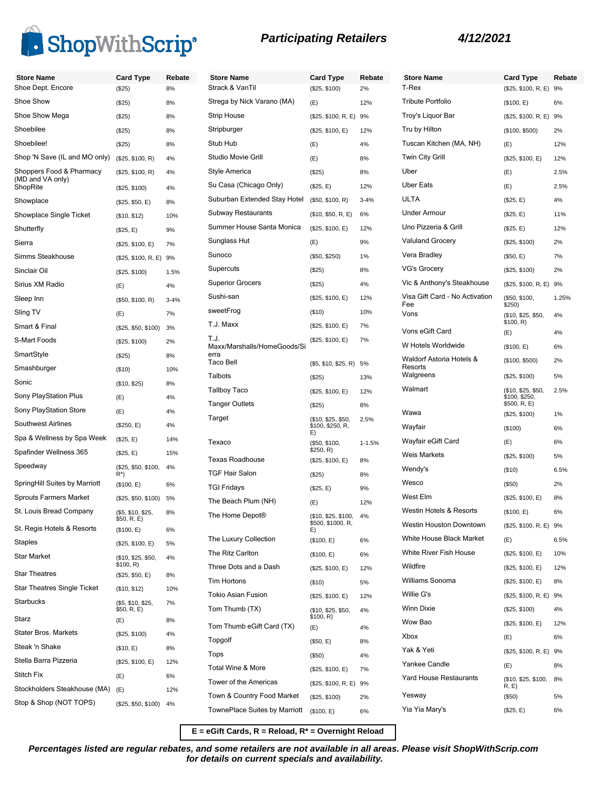

| <b>Participating Retailers</b> |  |  |  |
|--------------------------------|--|--|--|
|--------------------------------|--|--|--|

| <b>Store Name</b>                            | <b>Card Type</b>                 | Rebate   | <b>Store Name</b>                                           |
|----------------------------------------------|----------------------------------|----------|-------------------------------------------------------------|
| Shoe Dept. Encore                            | (\$25)                           | 8%       | Strack & VanTil                                             |
| Shoe Show                                    | (\$25)                           | 8%       | Strega by Nick Varano (MA)                                  |
| Shoe Show Mega                               | (\$25)                           | 8%       | Strip House                                                 |
| Shoebilee                                    | (\$25)                           | 8%       | Stripburger                                                 |
| Shoebilee!                                   | (\$25)                           | 8%       | Stub Hub                                                    |
| Shop 'N Save (IL and MO only)                | (\$25, \$100, R)                 | 4%       | Studio Movie Grill                                          |
| Shoppers Food & Pharmacy<br>(MD and VA only) | (\$25, \$100, R)                 | 4%       | Style America                                               |
| ShopRite                                     | (\$25, \$100)                    | 4%       | Su Casa (Chicago Only)                                      |
| Showplace                                    | (\$25, \$50, E)                  | 8%       | Suburban Extended Stay Hotel                                |
| Showplace Single Ticket                      | (\$10, \$12)                     | 10%      | <b>Subway Restaurants</b>                                   |
| Shutterfly                                   | (\$25, E)                        | 9%       | Summer House Santa Monica                                   |
| Sierra                                       | (\$25, \$100, E)                 | 7%       | Sunglass Hut                                                |
| Simms Steakhouse                             | (\$25, \$100, R, E)              | 9%       | Sunoco                                                      |
| Sinclair Oil                                 | (\$25, \$100)                    | 1.5%     | Supercuts                                                   |
| Sirius XM Radio                              | (E)                              | 4%       | <b>Superior Grocers</b>                                     |
| Sleep Inn                                    | (\$50, \$100, R)                 | $3 - 4%$ | Sushi-san                                                   |
| Sling TV                                     | (E)                              | 7%       | sweetFrog                                                   |
| Smart & Final                                | (\$25, \$50, \$100)              | 3%       | T.J. Maxx                                                   |
| S-Mart Foods                                 | (\$25, \$100)                    | 2%       | T.J.                                                        |
| SmartStyle                                   | (\$25)                           | 8%       | Maxx/Marshalls/HomeGoods/Si<br>erra                         |
| Smashburger                                  | (\$10)                           | 10%      | <b>Taco Bell</b>                                            |
| Sonic                                        | (\$10, \$25)                     | 8%       | Talbots                                                     |
| Sony PlayStation Plus                        | (E)                              | 4%       | <b>Tallboy Taco</b>                                         |
| Sony PlayStation Store                       | (E)                              | 4%       | <b>Tanger Outlets</b>                                       |
| <b>Southwest Airlines</b>                    | (\$250, E)                       | 4%       | Target                                                      |
| Spa & Wellness by Spa Week                   | (\$25, E)                        | 14%      | Texaco                                                      |
| Spafinder Wellness 365                       | (\$25, E)                        | 15%      |                                                             |
| Speedway                                     | (\$25, \$50, \$100,              | 4%       | <b>Texas Roadhouse</b>                                      |
| SpringHill Suites by Marriott                | R*)<br>(\$100, E)                | 6%       | <b>TGF Hair Salon</b>                                       |
| <b>Sprouts Farmers Market</b>                | (\$25, \$50, \$100)              | 5%       | <b>TGI Fridays</b>                                          |
| St. Louis Bread Company                      | (\$5, \$10, \$25,                | 8%       | The Beach Plum (NH)                                         |
|                                              | \$50, R, E)                      |          | The Home Depot®                                             |
| St. Regis Hotels & Resorts                   | (\$100, E)                       | 6%       | The Luxury Collection                                       |
| Staples                                      | (\$25, \$100, E)                 | 5%       | The Ritz Carlton                                            |
| <b>Star Market</b>                           | (\$10, \$25, \$50,<br>\$100, R)  | 4%       | Three Dots and a Dash                                       |
| <b>Star Theatres</b>                         | (\$25, \$50, E)                  | 8%       | <b>Tim Hortons</b>                                          |
| <b>Star Theatres Single Ticket</b>           | (\$10, \$12)                     | 10%      | Tokio Asian Fusion                                          |
| <b>Starbucks</b>                             | (\$5, \$10, \$25,<br>\$50, R, E) | 7%       | Tom Thumb (TX)                                              |
| Starz                                        | (E)                              | 8%       | Tom Thumb eGift Card (TX)                                   |
| <b>Stater Bros. Markets</b>                  | (\$25, \$100)                    | 4%       | Topgolf                                                     |
| Steak 'n Shake                               | (\$10, E)                        | 8%       | Tops                                                        |
| Stella Barra Pizzeria                        | (\$25, \$100, E)                 | 12%      | Total Wine & More                                           |
| Stitch Fix                                   | (E)                              | 6%       | Tower of the Americas                                       |
| Stockholders Steakhouse (MA)                 | (E)                              | 12%      |                                                             |
| Stop & Shop (NOT TOPS)                       | (\$25, \$50, \$100)              | 4%       | Town & Country Food Market<br>TownePlace Suites by Marriott |
|                                              |                                  |          |                                                             |

| <b>Store Name</b>                   | Card Type                                            | Rebate   | <b>Store Nar</b>      |
|-------------------------------------|------------------------------------------------------|----------|-----------------------|
| Strack & VanTil                     | (\$25, \$100)                                        | 2%       | T-Rex                 |
| Strega by Nick Varano (MA)          | (E)                                                  | 12%      | <b>Tribute Por</b>    |
| Strip House                         | (\$25, \$100, R, E)                                  | 9%       | Troy's Liqu           |
| Stripburger                         | (\$25, \$100, E)                                     | 12%      | Tru by Hilto          |
| Stub Hub                            | (E)                                                  | 4%       | Tuscan Kit            |
| Studio Movie Grill                  | (E)                                                  | 8%       | Twin City (           |
| Style America                       | (\$25)                                               | 8%       | Uber                  |
| Su Casa (Chicago Only)              | (\$25, E)                                            | 12%      | <b>Uber Eats</b>      |
| Suburban Extended Stay Hotel        | (\$50, \$100, R)                                     | $3 - 4%$ | ULTA                  |
| Subway Restaurants                  | (\$10, \$50, R, E)                                   | 6%       | Under Arm             |
| Summer House Santa Monica           | (\$25, \$100, E)                                     | 12%      | Uno Pizzer            |
| Sunglass Hut                        | (E)                                                  | 9%       | Valuland G            |
| Sunoco                              | (\$50, \$250)                                        | 1%       | Vera Bradl            |
| Supercuts                           | (\$25)                                               | 8%       | VG's Groc             |
| Superior Grocers                    | (S25)                                                | 4%       | Vic & Anth            |
| Sushi-san                           | (\$25, \$100, E)                                     | 12%      | Visa Gift C           |
| sweetFrog                           | (\$10)                                               | 10%      | Fee<br>Vons           |
| T.J. Maxx                           | (\$25, \$100, E)                                     | 7%       |                       |
| T.J.                                | (\$25, \$100, E)                                     | 7%       | Vons eGift            |
| Maxx/Marshalls/HomeGoods/Si<br>erra |                                                      |          | W Hotels V            |
| Taco Bell                           | (\$5, \$10, \$25, R)                                 | 5%       | Waldorf As<br>Resorts |
| Talbots                             | (\$25)                                               | 13%      | Walgreens             |
| Tallboy Taco                        | (\$25, \$100, E)                                     | 12%      | Walmart               |
| Tanger Outlets                      | (\$25)                                               | 8%       |                       |
| Target                              | (\$10, \$25, \$50,<br>2.5%<br>\$100, \$250, R,<br>E) |          | Wawa                  |
|                                     |                                                      |          | Wayfair               |
| Texaco                              | (\$50, \$100,<br>\$250, R)                           | 1-1.5%   | Wayfair eG            |
| Texas Roadhouse                     | (\$25, \$100, E)                                     | 8%       | Weis Mark             |
| TGF Hair Salon                      | (\$25)                                               | 8%       | Wendy's               |
| <b>TGI Fridays</b>                  | (\$25, E)                                            | 9%       | Wesco                 |
| The Beach Plum (NH)                 | (E)                                                  | 12%      | West Elm              |
| The Home Depot®                     | (\$10, \$25, \$100,                                  | 4%       | Westin Hot            |
|                                     | \$500, \$1000, R,<br>E)                              |          | Westin Hor            |
| The Luxury Collection               | (\$100, E)                                           | 6%       | White Hou:            |
| The Ritz Carlton                    | (\$100, E)                                           | 6%       | <b>White Rive</b>     |
| Three Dots and a Dash               | (\$25, \$100, E)                                     | 12%      | Wildfire              |
| <b>Tim Hortons</b>                  | ( \$10)                                              | 5%       | Williams S            |
| Tokio Asian Fusion                  | (\$25, \$100, E)                                     | 12%      | Willie G's            |
| Tom Thumb (TX)                      | (\$10, \$25, \$50,                                   | 4%       | <b>Winn Dixie</b>     |
| Tom Thumb eGift Card (TX)           | \$100, R)<br>(E)                                     | 4%       | Wow Bao               |
| Topgolf                             | (\$50, E)                                            | 8%       | Xbox                  |
| Tops                                |                                                      |          | Yak & Yeti            |
| Total Wine & More                   | (\$50)                                               | 4%       | Yankee Ca             |
| Tower of the Americas               | (\$25, \$100, E)                                     | 7%       | Yard Hous             |
|                                     | (\$25, \$100, R, E)                                  | 9%       | Yesway                |
| Town & Country Food Market          | (\$25, \$100)                                        | 2%       | Yia Yia Ma            |
| TownePlace Suites by Marriott       | (\$100, E)                                           | 6%       |                       |

| <b>Store Name</b>                     | Card Type                                           | Rebate |
|---------------------------------------|-----------------------------------------------------|--------|
| T-Rex                                 | (\$25, \$100, R, E)                                 | 9%     |
| Tribute Portfolio                     | (\$100, E)                                          | 6%     |
| Troy's Liquor Bar                     | (\$25, \$100, R, E)                                 | 9%     |
| Tru by Hilton                         | (\$100, \$500)                                      | 2%     |
| Tuscan Kitchen (MA, NH)               | (E)                                                 | 12%    |
| Twin City Grill                       | (\$25, \$100, E)                                    | 12%    |
| Uber                                  | (E)                                                 | 2.5%   |
| Uber Eats                             | (E)                                                 | 2.5%   |
| ULTA                                  | (\$25, E)                                           | 4%     |
| Under Armour                          | (\$25, E)                                           | 11%    |
| Uno Pizzeria & Grill                  | (\$25, E)                                           | 12%    |
| <b>Valuland Grocery</b>               | (\$25, \$100)                                       | 2%     |
| Vera Bradley                          | (\$50, E)                                           | 7%     |
| VG's Grocery                          | (\$25, \$100)                                       | 2%     |
| Vic & Anthony's Steakhouse            | (\$25, \$100, R, E)                                 | 9%     |
| Visa Gift Card - No Activation<br>Fee | (\$50, \$100,<br>\$250)                             | 1.25%  |
| Vons                                  | (\$10, \$25, \$50,<br>\$100, R)                     | 4%     |
| Vons eGift Card                       | (E)                                                 | 4%     |
| W Hotels Worldwide                    | (\$100, E)                                          | 6%     |
| Waldorf Astoria Hotels &<br>Resorts   | (\$100, \$500)                                      | 2%     |
| Walgreens                             | (\$25, \$100)                                       | 5%     |
| Walmart                               | (\$10, \$25, \$50,<br>\$100, \$250,<br>\$500, R, E) | 2.5%   |
| Wawa                                  | (\$25, \$100)                                       | 1%     |
| Wayfair                               | (\$100)                                             | 6%     |
| Wayfair eGift Card                    | (E)                                                 | 6%     |
| Weis Markets                          | (\$25, \$100)                                       | 5%     |
| Wendy's                               | ( \$10)                                             | 6.5%   |
| Wesco                                 | $(\$50)$                                            | 2%     |
| West Elm                              | (\$25, \$100, E)                                    | 8%     |
| Westin Hotels & Resorts               | (\$100, E)                                          | 6%     |
| Westin Houston Downtown               | (\$25, \$100, R, E) 9%                              |        |
| White House Black Market              | (E)                                                 | 6.5%   |
| White River Fish House                | (\$25, \$100, E)                                    | 10%    |
| Wildfire                              | (\$25, \$100, E)                                    | 12%    |
| Williams Sonoma                       | (\$25, \$100, E)                                    | 8%     |
| Willie G's                            | (\$25, \$100, R, E)                                 | 9%     |
| Winn Dixie                            | (\$25, \$100)                                       | 4%     |
| Wow Bao                               | (\$25, \$100, E)                                    | 12%    |
| Xbox                                  | (E)                                                 | 6%     |
| Yak & Yeti                            | (\$25, \$100, R, E)                                 | 9%     |
| Yankee Candle                         | (E)                                                 | 8%     |
| Yard House Restaurants                | (\$10, \$25, \$100,<br>R, E                         | 8%     |
| Yesway                                | (\$50)                                              | 5%     |
| Yia Yia Mary's                        | (\$25, E)                                           | 6%     |

**E = eGift Cards, R = Reload, R\* = Overnight Reload**